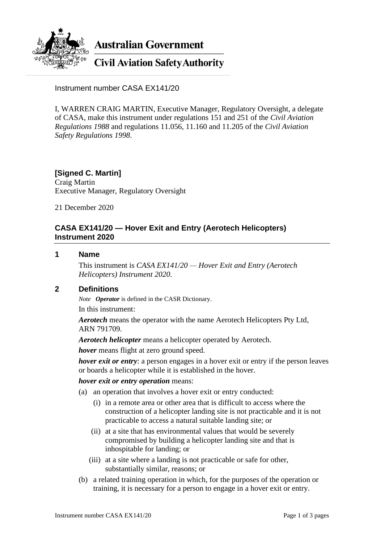

**Australian Government** 

# **Civil Aviation Safety Authority**

Instrument number CASA EX141/20

I, WARREN CRAIG MARTIN, Executive Manager, Regulatory Oversight, a delegate of CASA, make this instrument under regulations 151 and 251 of the *Civil Aviation Regulations 1988* and regulations 11.056, 11.160 and 11.205 of the *Civil Aviation Safety Regulations 1998*.

# **[Signed C. Martin]**

Craig Martin Executive Manager, Regulatory Oversight

21 December 2020

## **CASA EX141/20 — Hover Exit and Entry (Aerotech Helicopters) Instrument 2020**

#### **1 Name**

This instrument is *CASA EX141/20 — Hover Exit and Entry (Aerotech Helicopters) Instrument 2020*.

#### **2 Definitions**

*Note Operator* is defined in the CASR Dictionary.

In this instrument:

*Aerotech* means the operator with the name Aerotech Helicopters Pty Ltd, ARN 791709.

*Aerotech helicopter* means a helicopter operated by Aerotech.

*hover* means flight at zero ground speed.

*hover exit or entry*: a person engages in a hover exit or entry if the person leaves or boards a helicopter while it is established in the hover.

#### *hover exit or entry operation* means:

- (a) an operation that involves a hover exit or entry conducted:
	- (i) in a remote area or other area that is difficult to access where the construction of a helicopter landing site is not practicable and it is not practicable to access a natural suitable landing site; or
	- (ii) at a site that has environmental values that would be severely compromised by building a helicopter landing site and that is inhospitable for landing; or
	- (iii) at a site where a landing is not practicable or safe for other, substantially similar, reasons; or
- (b) a related training operation in which, for the purposes of the operation or training, it is necessary for a person to engage in a hover exit or entry.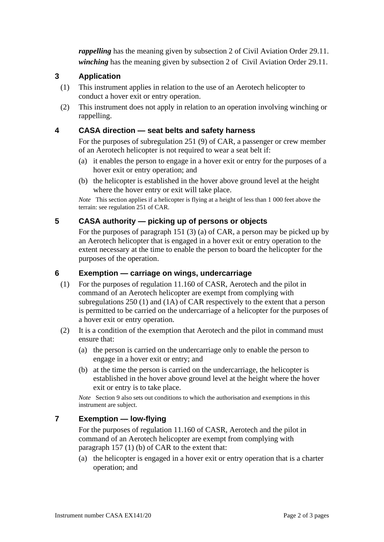*rappelling* has the meaning given by subsection 2 of Civil Aviation Order 29.11. *winching* has the meaning given by subsection 2 of Civil Aviation Order 29.11.

## **3 Application**

- (1) This instrument applies in relation to the use of an Aerotech helicopter to conduct a hover exit or entry operation.
- (2) This instrument does not apply in relation to an operation involving winching or rappelling.

### **4 CASA direction — seat belts and safety harness**

For the purposes of subregulation 251 (9) of CAR, a passenger or crew member of an Aerotech helicopter is not required to wear a seat belt if:

- (a) it enables the person to engage in a hover exit or entry for the purposes of a hover exit or entry operation; and
- (b) the helicopter is established in the hover above ground level at the height where the hover entry or exit will take place.

*Note* This section applies if a helicopter is flying at a height of less than 1 000 feet above the terrain: see regulation 251 of CAR.

## **5 CASA authority — picking up of persons or objects**

For the purposes of paragraph 151 (3) (a) of CAR, a person may be picked up by an Aerotech helicopter that is engaged in a hover exit or entry operation to the extent necessary at the time to enable the person to board the helicopter for the purposes of the operation.

#### **6 Exemption — carriage on wings, undercarriage**

- (1) For the purposes of regulation 11.160 of CASR, Aerotech and the pilot in command of an Aerotech helicopter are exempt from complying with subregulations 250 (1) and (1A) of CAR respectively to the extent that a person is permitted to be carried on the undercarriage of a helicopter for the purposes of a hover exit or entry operation.
- (2) It is a condition of the exemption that Aerotech and the pilot in command must ensure that:
	- (a) the person is carried on the undercarriage only to enable the person to engage in a hover exit or entry; and
	- (b) at the time the person is carried on the undercarriage, the helicopter is established in the hover above ground level at the height where the hover exit or entry is to take place.

*Note* Section 9 also sets out conditions to which the authorisation and exemptions in this instrument are subject.

## **7 Exemption — low-flying**

For the purposes of regulation 11.160 of CASR, Aerotech and the pilot in command of an Aerotech helicopter are exempt from complying with paragraph 157 (1) (b) of CAR to the extent that:

(a) the helicopter is engaged in a hover exit or entry operation that is a charter operation; and